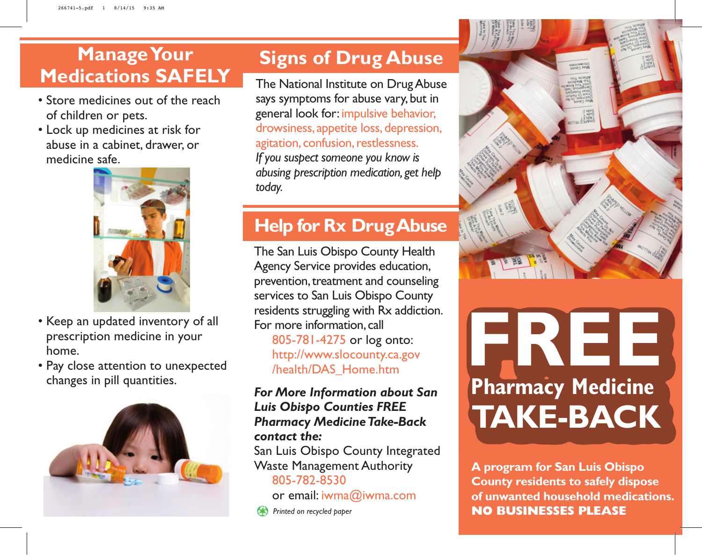### **Manage Your Medications SAFELY**

- Store medicines out of the reach of children or pets.
- Lock up medicines at risk for abuse in a cabinet, drawer, or medicine safe.



- Keep an updated inventory of all prescription medicine in your home.
- Pay close attention to unexpected changes in pill quantities.



#### **Signs of Drug Abuse**

The National Institute on Drug Abuse says symptoms for abuse vary, but in general look for: impulsive behavior, drowsiness, appetite loss, depression, agitation, confusion, restlessness. *If you suspect someone you know is abusing prescription medication, get help today.*

#### **Help for Rx Drug Abuse**

The San Luis Obispo County Health Agency Service provides education, prevention, treatment and counseling services to San Luis Obispo County residents struggling with Rx addiction. For more information, call 805-781-4275 or log onto: http://www.slocounty.ca.gov /health/DAS\_Home.htm

*For More Information about San Luis Obispo Counties FREE Pharmacy Medicine Take-Back contact the:* San Luis Obispo County Integrated Waste Management Authority 805-782-8530

or email: iwma@iwma.com

**Printed on recycled paper** 



# **FREE TAKE-BACK Pharmacy Medicine**

**A program for San Luis Obispo County residents to safely dispose of unwanted household medications. NO BUSINESSES PLEASE**